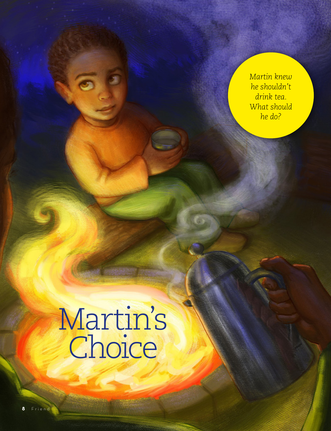*Martin knew he shouldn't drink tea. What should he do?*

## Martin's Choice